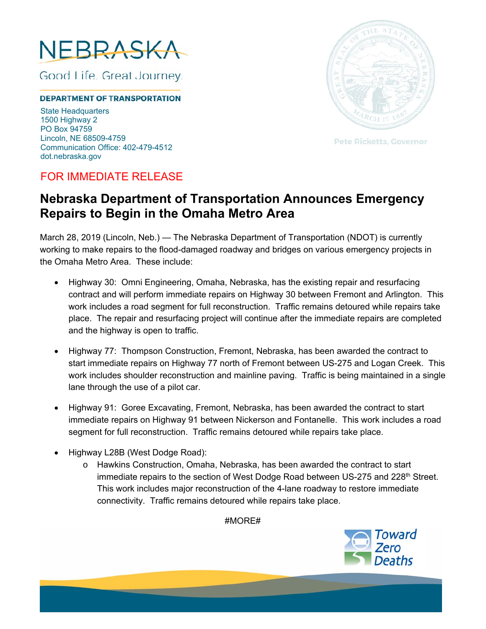

Good Life. Great Journey.

## **DEPARTMENT OF TRANSPORTATION**

State Headquarters 1500 Highway 2 PO Box 94759 Lincoln, NE 68509-4759 Communication Office: 402-479-4512 dot.nebraska.gov



**Pete Ricketts, Governor** 

## FOR IMMEDIATE RELEASE

## **Nebraska Department of Transportation Announces Emergency Repairs to Begin in the Omaha Metro Area**

March 28, 2019 (Lincoln, Neb.) — The Nebraska Department of Transportation (NDOT) is currently working to make repairs to the flood-damaged roadway and bridges on various emergency projects in the Omaha Metro Area. These include:

- Highway 30: Omni Engineering, Omaha, Nebraska, has the existing repair and resurfacing contract and will perform immediate repairs on Highway 30 between Fremont and Arlington. This work includes a road segment for full reconstruction. Traffic remains detoured while repairs take place. The repair and resurfacing project will continue after the immediate repairs are completed and the highway is open to traffic.
- Highway 77: Thompson Construction, Fremont, Nebraska, has been awarded the contract to start immediate repairs on Highway 77 north of Fremont between US-275 and Logan Creek. This work includes shoulder reconstruction and mainline paving. Traffic is being maintained in a single lane through the use of a pilot car.
- Highway 91: Goree Excavating, Fremont, Nebraska, has been awarded the contract to start immediate repairs on Highway 91 between Nickerson and Fontanelle. This work includes a road segment for full reconstruction. Traffic remains detoured while repairs take place.
- Highway L28B (West Dodge Road):
	- o Hawkins Construction, Omaha, Nebraska, has been awarded the contract to start immediate repairs to the section of West Dodge Road between US-275 and 228<sup>th</sup> Street. This work includes major reconstruction of the 4-lane roadway to restore immediate connectivity. Traffic remains detoured while repairs take place.

#MORE#